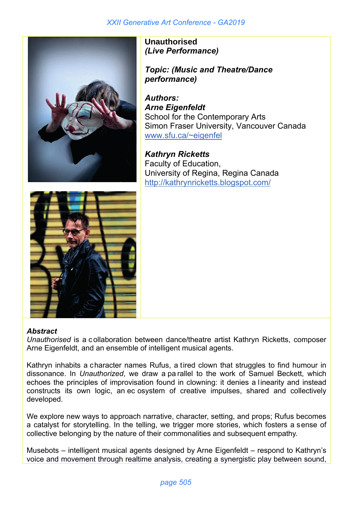

**Unauthorised** *(Live Performance)*

*Topic: (Music and Theatre/Dance performance)* 

*Authors: Arne Eigenfeldt* School for the Contemporary Arts Simon Fraser University, Vancouver Canada www.sfu.ca/~eigenfel

*Kathryn Ricketts* Faculty of Education, University of Regina, Regina Canada http://kathrynricketts.blogspot.com/



## *Abstract*

*Unauthorised* is a c ollaboration between dance/theatre artist Kathryn Ricketts, composer Arne Eigenfeldt, and an ensemble of intelligent musical agents.

Kathryn inhabits a character names Rufus, a tired clown that struggles to find humour in dissonance. In *Unauthorized*, we draw a pa rallel to the work of Samuel Beckett, which echoes the principles of improvisation found in clowning: it denies a linearity and instead constructs its own logic, an ec osystem of creative impulses, shared and collectively developed.

We explore new ways to approach narrative, character, setting, and props; Rufus becomes a catalyst for storytelling. In the telling, we trigger more stories, which fosters a sense of collective belonging by the nature of their commonalities and subsequent empathy.

Musebots – intelligent musical agents designed by Arne Eigenfeldt – respond to Kathryn's voice and movement through realtime analysis, creating a synergistic play between sound,